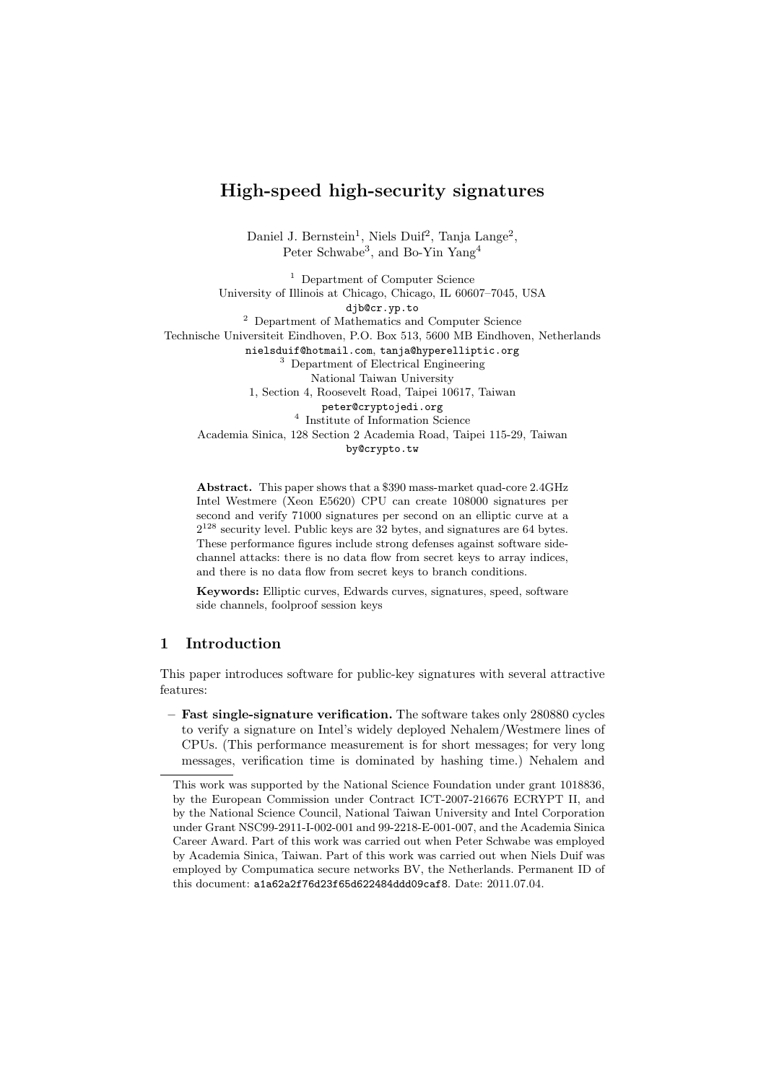# High-speed high-security signatures

Daniel J. Bernstein<sup>1</sup>, Niels Duif<sup>2</sup>, Tanja Lange<sup>2</sup>, Peter Schwabe<sup>3</sup>, and Bo-Yin Yang<sup>4</sup>

<sup>1</sup> Department of Computer Science University of Illinois at Chicago, Chicago, IL 60607–7045, USA djb@cr.yp.to <sup>2</sup> Department of Mathematics and Computer Science Technische Universiteit Eindhoven, P.O. Box 513, 5600 MB Eindhoven, Netherlands nielsduif@hotmail.com, tanja@hyperelliptic.org <sup>3</sup> Department of Electrical Engineering National Taiwan University 1, Section 4, Roosevelt Road, Taipei 10617, Taiwan peter@cryptojedi.org 4 Institute of Information Science Academia Sinica, 128 Section 2 Academia Road, Taipei 115-29, Taiwan by@crypto.tw

Abstract. This paper shows that a \$390 mass-market quad-core 2.4GHz Intel Westmere (Xeon E5620) CPU can create 108000 signatures per second and verify 71000 signatures per second on an elliptic curve at a  $2^{128}$  security level. Public keys are 32 bytes, and signatures are 64 bytes. These performance figures include strong defenses against software sidechannel attacks: there is no data flow from secret keys to array indices, and there is no data flow from secret keys to branch conditions.

Keywords: Elliptic curves, Edwards curves, signatures, speed, software side channels, foolproof session keys

## 1 Introduction

This paper introduces software for public-key signatures with several attractive features:

– Fast single-signature verification. The software takes only 280880 cycles to verify a signature on Intel's widely deployed Nehalem/Westmere lines of CPUs. (This performance measurement is for short messages; for very long messages, verification time is dominated by hashing time.) Nehalem and

This work was supported by the National Science Foundation under grant 1018836, by the European Commission under Contract ICT-2007-216676 ECRYPT II, and by the National Science Council, National Taiwan University and Intel Corporation under Grant NSC99-2911-I-002-001 and 99-2218-E-001-007, and the Academia Sinica Career Award. Part of this work was carried out when Peter Schwabe was employed by Academia Sinica, Taiwan. Part of this work was carried out when Niels Duif was employed by Compumatica secure networks BV, the Netherlands. Permanent ID of this document: a1a62a2f76d23f65d622484ddd09caf8. Date: 2011.07.04.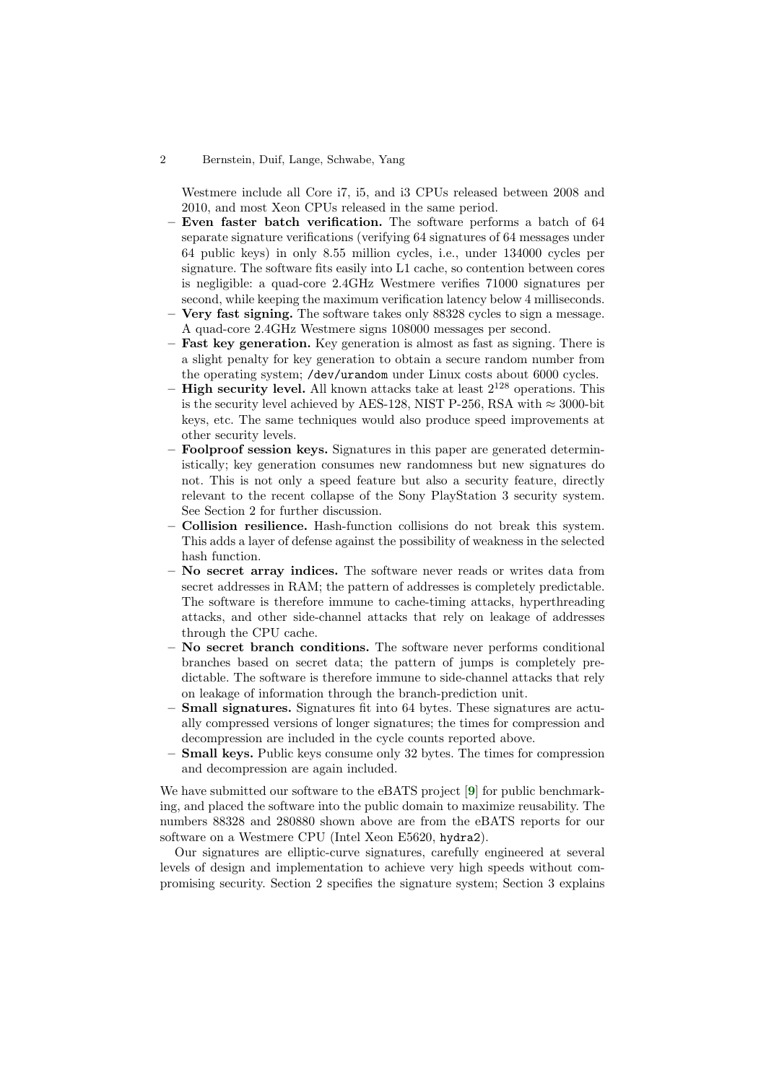Westmere include all Core i7, i5, and i3 CPUs released between 2008 and 2010, and most Xeon CPUs released in the same period.

- Even faster batch verification. The software performs a batch of 64 separate signature verifications (verifying 64 signatures of 64 messages under 64 public keys) in only 8.55 million cycles, i.e., under 134000 cycles per signature. The software fits easily into L1 cache, so contention between cores is negligible: a quad-core 2.4GHz Westmere verifies 71000 signatures per second, while keeping the maximum verification latency below 4 milliseconds.
- Very fast signing. The software takes only 88328 cycles to sign a message. A quad-core 2.4GHz Westmere signs 108000 messages per second.
- Fast key generation. Key generation is almost as fast as signing. There is a slight penalty for key generation to obtain a secure random number from the operating system; /dev/urandom under Linux costs about 6000 cycles.
- **High security level.** All known attacks take at least  $2^{128}$  operations. This is the security level achieved by AES-128, NIST P-256, RSA with  $\approx 3000$ -bit keys, etc. The same techniques would also produce speed improvements at other security levels.
- Foolproof session keys. Signatures in this paper are generated deterministically; key generation consumes new randomness but new signatures do not. This is not only a speed feature but also a security feature, directly relevant to the recent collapse of the Sony PlayStation 3 security system. See Section 2 for further discussion.
- Collision resilience. Hash-function collisions do not break this system. This adds a layer of defense against the possibility of weakness in the selected hash function.
- No secret array indices. The software never reads or writes data from secret addresses in RAM; the pattern of addresses is completely predictable. The software is therefore immune to cache-timing attacks, hyperthreading attacks, and other side-channel attacks that rely on leakage of addresses through the CPU cache.
- No secret branch conditions. The software never performs conditional branches based on secret data; the pattern of jumps is completely predictable. The software is therefore immune to side-channel attacks that rely on leakage of information through the branch-prediction unit.
- Small signatures. Signatures fit into 64 bytes. These signatures are actually compressed versions of longer signatures; the times for compression and decompression are included in the cycle counts reported above.
- <span id="page-1-0"></span>– Small keys. Public keys consume only 32 bytes. The times for compression and decompression are again included.

We have submitted our software to the eBATS project [[9](#page-15-0)] for public benchmarking, and placed the software into the public domain to maximize reusability. The numbers 88328 and 280880 shown above are from the eBATS reports for our software on a Westmere CPU (Intel Xeon E5620, hydra2).

Our signatures are elliptic-curve signatures, carefully engineered at several levels of design and implementation to achieve very high speeds without compromising security. Section 2 specifies the signature system; Section 3 explains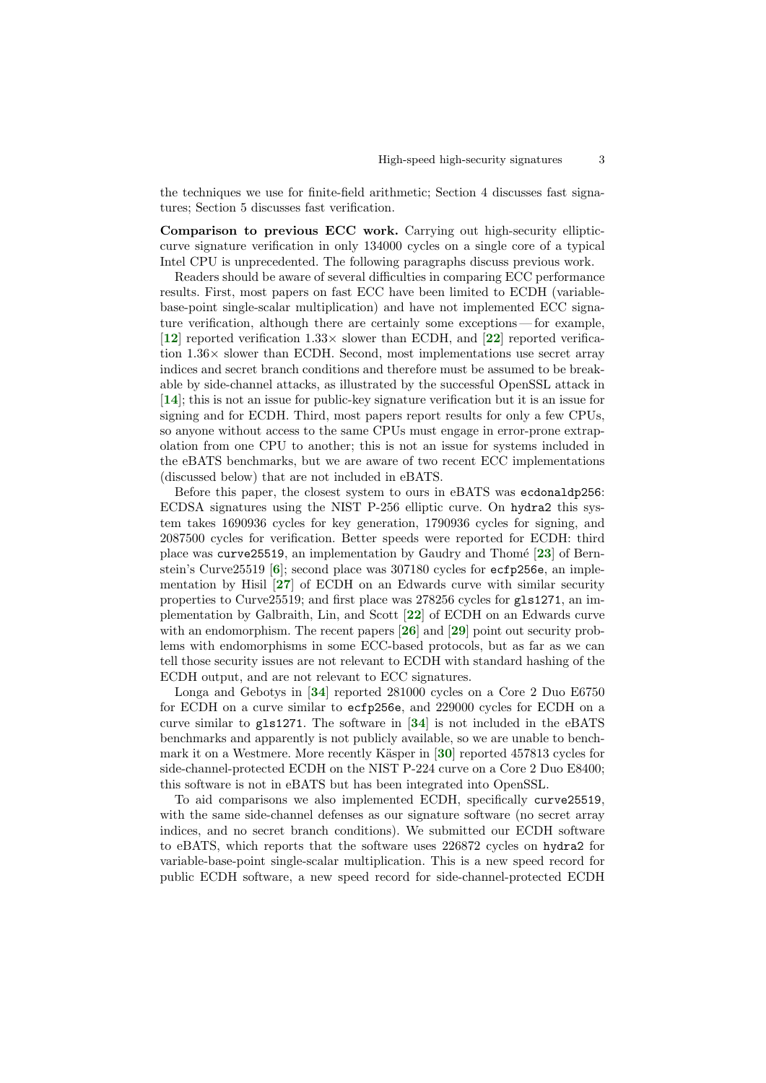the techniques we use for finite-field arithmetic; Section 4 discusses fast signatures; Section 5 discusses fast verification.

Comparison to previous ECC work. Carrying out high-security ellipticcurve signature verification in only 134000 cycles on a single core of a typical Intel CPU is unprecedented. The following paragraphs discuss previous work.

<span id="page-2-3"></span><span id="page-2-1"></span>Readers should be aware of several difficulties in comparing ECC performance results. First, most papers on fast ECC have been limited to ECDH (variablebase-point single-scalar multiplication) and have not implemented ECC signature verification, although there are certainly some exceptions — for example, [[12](#page-15-1)] reported verification  $1.33\times$  slower than ECDH, and [[22](#page-16-0)] reported verification  $1.36\times$  slower than ECDH. Second, most implementations use secret array indices and secret branch conditions and therefore must be assumed to be breakable by side-channel attacks, as illustrated by the successful OpenSSL attack in [[14](#page-16-1)]; this is not an issue for public-key signature verification but it is an issue for signing and for ECDH. Third, most papers report results for only a few CPUs, so anyone without access to the same CPUs must engage in error-prone extrapolation from one CPU to another; this is not an issue for systems included in the eBATS benchmarks, but we are aware of two recent ECC implementations (discussed below) that are not included in eBATS.

<span id="page-2-7"></span><span id="page-2-5"></span><span id="page-2-2"></span><span id="page-2-0"></span>Before this paper, the closest system to ours in eBATS was ecdonaldp256: ECDSA signatures using the NIST P-256 elliptic curve. On hydra2 this system takes 1690936 cycles for key generation, 1790936 cycles for signing, and 2087500 cycles for verification. Better speeds were reported for ECDH: third place was curve25519, an implementation by Gaudry and Thomé  $[23]$  $[23]$  $[23]$  of Bernstein's Curve25519 [[6](#page-15-2)]; second place was 307180 cycles for ecfp256e, an implementation by Hisil  $[27]$  $[27]$  $[27]$  of ECDH on an Edwards curve with similar security properties to Curve25519; and first place was 278256 cycles for gls1271, an implementation by Galbraith, Lin, and Scott [[22](#page-16-0)] of ECDH on an Edwards curve with an endomorphism. The recent papers  $[26]$  $[26]$  $[26]$  and  $[29]$  $[29]$  $[29]$  point out security problems with endomorphisms in some ECC-based protocols, but as far as we can tell those security issues are not relevant to ECDH with standard hashing of the ECDH output, and are not relevant to ECC signatures.

<span id="page-2-11"></span><span id="page-2-10"></span><span id="page-2-8"></span><span id="page-2-6"></span><span id="page-2-4"></span>Longa and Gebotys in [[34](#page-17-0)] reported 281000 cycles on a Core 2 Duo E6750 for ECDH on a curve similar to ecfp256e, and 229000 cycles for ECDH on a curve similar to gls1271. The software in [[34](#page-17-0)] is not included in the eBATS benchmarks and apparently is not publicly available, so we are unable to benchmark it on a Westmere. More recently Käsper in  $[30]$  $[30]$  $[30]$  reported 457813 cycles for side-channel-protected ECDH on the NIST P-224 curve on a Core 2 Duo E8400; this software is not in eBATS but has been integrated into OpenSSL.

<span id="page-2-9"></span>To aid comparisons we also implemented ECDH, specifically curve25519, with the same side-channel defenses as our signature software (no secret array indices, and no secret branch conditions). We submitted our ECDH software to eBATS, which reports that the software uses 226872 cycles on hydra2 for variable-base-point single-scalar multiplication. This is a new speed record for public ECDH software, a new speed record for side-channel-protected ECDH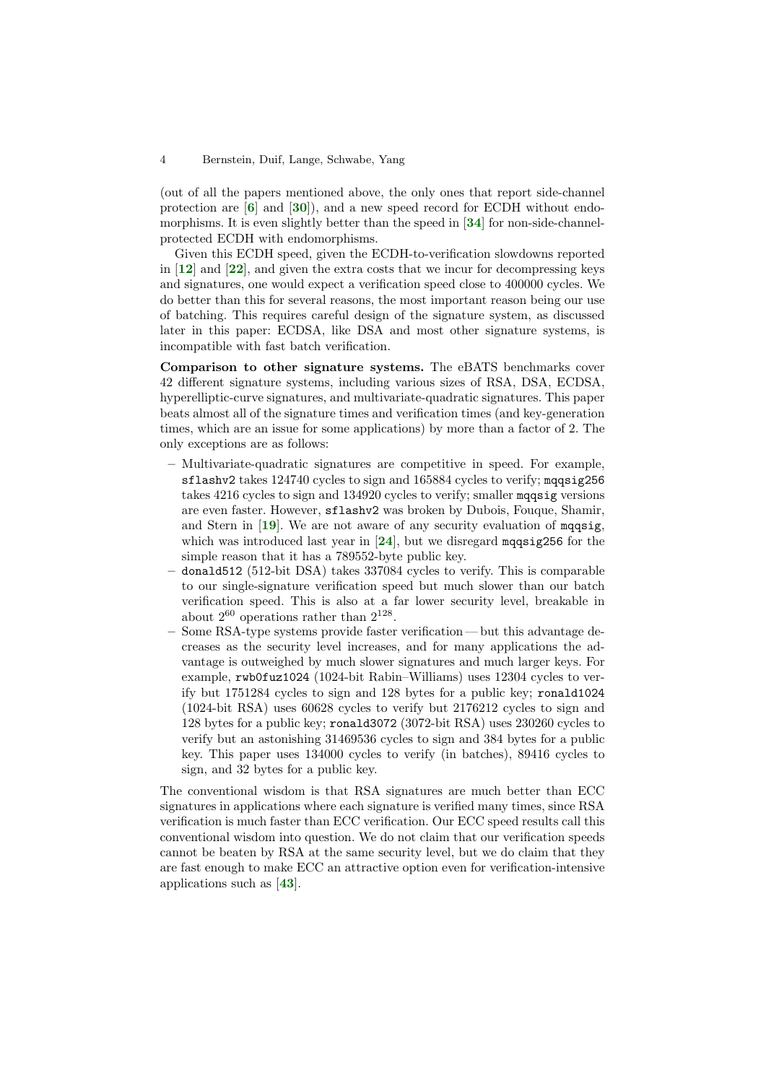<span id="page-3-6"></span><span id="page-3-5"></span><span id="page-3-0"></span>(out of all the papers mentioned above, the only ones that report side-channel protection are  $[6]$  $[6]$  $[6]$  and  $[30]$  $[30]$  $[30]$ , and a new speed record for ECDH without endo-morphisms. It is even slightly better than the speed in [[34](#page-17-0)] for non-side-channelprotected ECDH with endomorphisms.

<span id="page-3-3"></span><span id="page-3-1"></span>Given this ECDH speed, given the ECDH-to-verification slowdowns reported in  $[12]$  $[12]$  $[12]$  and  $[22]$  $[22]$  $[22]$ , and given the extra costs that we incur for decompressing keys and signatures, one would expect a verification speed close to 400000 cycles. We do better than this for several reasons, the most important reason being our use of batching. This requires careful design of the signature system, as discussed later in this paper: ECDSA, like DSA and most other signature systems, is incompatible with fast batch verification.

Comparison to other signature systems. The eBATS benchmarks cover 42 different signature systems, including various sizes of RSA, DSA, ECDSA, hyperelliptic-curve signatures, and multivariate-quadratic signatures. This paper beats almost all of the signature times and verification times (and key-generation times, which are an issue for some applications) by more than a factor of 2. The only exceptions are as follows:

- Multivariate-quadratic signatures are competitive in speed. For example, sflashv2 takes 124740 cycles to sign and 165884 cycles to verify; mqqsig256 takes 4216 cycles to sign and 134920 cycles to verify; smaller mqqsig versions are even faster. However, sflashv2 was broken by Dubois, Fouque, Shamir, and Stern in [[19](#page-16-7)]. We are not aware of any security evaluation of mqqsig, which was introduced last year in  $[24]$  $[24]$  $[24]$ , but we disregard magnetic for the simple reason that it has a 789552-byte public key.
- <span id="page-3-4"></span><span id="page-3-2"></span>– donald512 (512-bit DSA) takes 337084 cycles to verify. This is comparable to our single-signature verification speed but much slower than our batch verification speed. This is also at a far lower security level, breakable in about  $2^{60}$  operations rather than  $2^{128}$ .
- Some RSA-type systems provide faster verification but this advantage decreases as the security level increases, and for many applications the advantage is outweighed by much slower signatures and much larger keys. For example, rwb0fuz1024 (1024-bit Rabin–Williams) uses 12304 cycles to verify but 1751284 cycles to sign and 128 bytes for a public key; ronald1024 (1024-bit RSA) uses 60628 cycles to verify but 2176212 cycles to sign and 128 bytes for a public key; ronald3072 (3072-bit RSA) uses 230260 cycles to verify but an astonishing 31469536 cycles to sign and 384 bytes for a public key. This paper uses 134000 cycles to verify (in batches), 89416 cycles to sign, and 32 bytes for a public key.

<span id="page-3-7"></span>The conventional wisdom is that RSA signatures are much better than ECC signatures in applications where each signature is verified many times, since RSA verification is much faster than ECC verification. Our ECC speed results call this conventional wisdom into question. We do not claim that our verification speeds cannot be beaten by RSA at the same security level, but we do claim that they are fast enough to make ECC an attractive option even for verification-intensive applications such as [[43](#page-17-1)].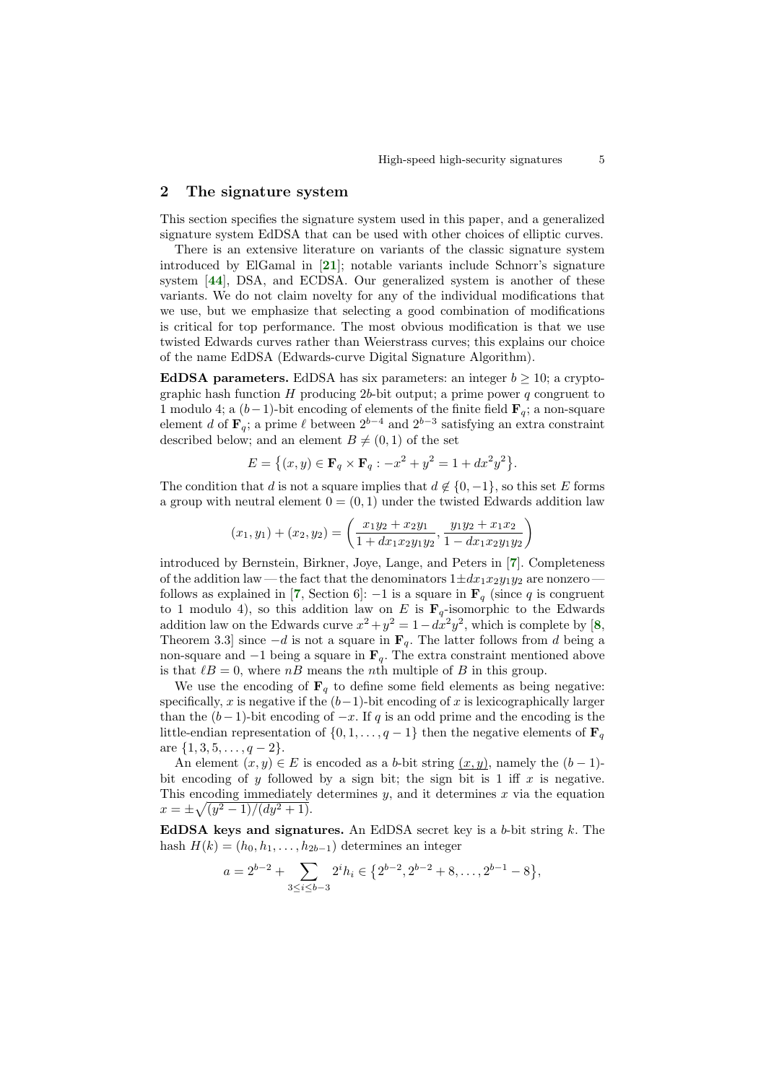## 2 The signature system

This section specifies the signature system used in this paper, and a generalized signature system EdDSA that can be used with other choices of elliptic curves.

<span id="page-4-4"></span><span id="page-4-3"></span>There is an extensive literature on variants of the classic signature system introduced by ElGamal in [[21](#page-16-9)]; notable variants include Schnorr's signature system [[44](#page-17-2)], DSA, and ECDSA. Our generalized system is another of these variants. We do not claim novelty for any of the individual modifications that we use, but we emphasize that selecting a good combination of modifications is critical for top performance. The most obvious modification is that we use twisted Edwards curves rather than Weierstrass curves; this explains our choice of the name EdDSA (Edwards-curve Digital Signature Algorithm).

EdDSA parameters. EdDSA has six parameters: an integer  $b \geq 10$ ; a cryptographic hash function  $H$  producing 2b-bit output; a prime power  $q$  congruent to 1 modulo 4; a  $(b-1)$ -bit encoding of elements of the finite field  $\mathbf{F}_q$ ; a non-square element d of  $\mathbf{F}_q$ ; a prime  $\ell$  between  $2^{b-4}$  and  $2^{b-3}$  satisfying an extra constraint described below; and an element  $B \neq (0, 1)$  of the set

$$
E = \{(x, y) \in \mathbf{F}_q \times \mathbf{F}_q : -x^2 + y^2 = 1 + dx^2 y^2\}.
$$

The condition that d is not a square implies that  $d \notin \{0, -1\}$ , so this set E forms a group with neutral element  $0 = (0, 1)$  under the twisted Edwards addition law

<span id="page-4-2"></span><span id="page-4-1"></span><span id="page-4-0"></span>
$$
(x_1, y_1) + (x_2, y_2) = \left(\frac{x_1y_2 + x_2y_1}{1 + dx_1x_2y_1y_2}, \frac{y_1y_2 + x_1x_2}{1 - dx_1x_2y_1y_2}\right)
$$

introduced by Bernstein, Birkner, Joye, Lange, and Peters in [[7](#page-15-3)]. Completeness of the addition law— the fact that the denominators  $1 \pm dx_1x_2y_1y_2$  are nonzero — follows as explained in [[7](#page-15-3), Section 6]: −1 is a square in  $\mathbf{F}_q$  (since q is congruent to 1 modulo 4), so this addition law on E is  $\mathbf{F}_q$ -isomorphic to the Edwards addition law on the Edwards curve  $x^2 + y^2 = 1 - dx^2y^2$ , which is complete by [[8](#page-15-4), Theorem 3.3] since  $-d$  is not a square in  $\mathbf{F}_q$ . The latter follows from d being a non-square and  $-1$  being a square in  $\mathbf{F}_q$ . The extra constraint mentioned above is that  $\ell B = 0$ , where nB means the nth multiple of B in this group.

We use the encoding of  $\mathbf{F}_q$  to define some field elements as being negative: specifically, x is negative if the  $(b-1)$ -bit encoding of x is lexicographically larger than the  $(b-1)$ -bit encoding of  $-x$ . If q is an odd prime and the encoding is the little-endian representation of  $\{0, 1, \ldots, q-1\}$  then the negative elements of  $\mathbf{F}_q$ are  $\{1, 3, 5, \ldots, q-2\}.$ 

An element  $(x, y) \in E$  is encoded as a b-bit string  $(x, y)$ , namely the  $(b - 1)$ bit encoding of y followed by a sign bit; the sign bit is 1 iff  $x$  is negative. This encoding immediately determines  $y$ , and it determines  $x$  via the equation  $x = \pm \sqrt{(y^2 - 1)/(dy^2 + 1)}.$ 

EdDSA keys and signatures. An EdDSA secret key is a  $b$ -bit string  $k$ . The hash  $H(k) = (h_0, h_1, \ldots, h_{2b-1})$  determines an integer

$$
a = 2^{b-2} + \sum_{3 \le i \le b-3} 2^i h_i \in \{2^{b-2}, 2^{b-2} + 8, \dots, 2^{b-1} - 8\},\,
$$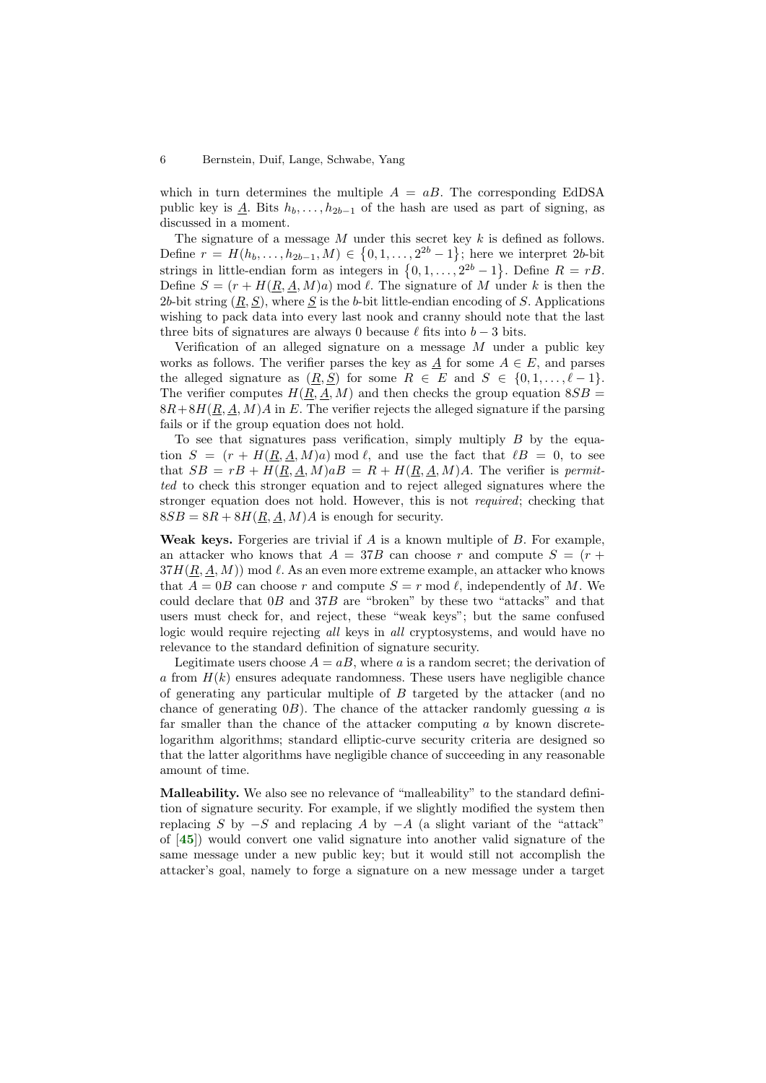which in turn determines the multiple  $A = aB$ . The corresponding EdDSA public key is A. Bits  $h_b, \ldots, h_{2b-1}$  of the hash are used as part of signing, as discussed in a moment.

The signature of a message  $M$  under this secret key  $k$  is defined as follows. Define  $r = H(h_b, \ldots, h_{2b-1}, M) \in \{0, 1, \ldots, 2^{2b} - 1\}$ ; here we interpret 2b-bit strings in little-endian form as integers in  $\{0, 1, ..., 2^{2b} - 1\}$ . Define  $R = rB$ . Define  $S = (r + H(\underline{R}, \underline{A}, M)a) \mod l$ . The signature of M under k is then the 2b-bit string  $(\underline{R}, \underline{S})$ , where  $\underline{S}$  is the b-bit little-endian encoding of S. Applications wishing to pack data into every last nook and cranny should note that the last three bits of signatures are always 0 because  $\ell$  fits into  $b - 3$  bits.

Verification of an alleged signature on a message  $M$  under a public key works as follows. The verifier parses the key as  $\underline{A}$  for some  $A \in E$ , and parses the alleged signature as  $(R, S)$  for some  $R \in E$  and  $S \in \{0, 1, \ldots, \ell - 1\}.$ The verifier computes  $H(R, A, M)$  and then checks the group equation  $8SB =$  $8R+8H(\underline{R}, \underline{A}, M)A$  in E. The verifier rejects the alleged signature if the parsing fails or if the group equation does not hold.

To see that signatures pass verification, simply multiply  $B$  by the equation  $S = (r + H(R, A, M)a) \mod l$ , and use the fact that  $lB = 0$ , to see that  $SB = rB + H(\underline{R}, \underline{A}, M)aB = R + H(\underline{R}, \underline{A}, M)A$ . The verifier is *permit*ted to check this stronger equation and to reject alleged signatures where the stronger equation does not hold. However, this is not required; checking that  $8SB = 8R + 8H(R, A, M)A$  is enough for security.

Weak keys. Forgeries are trivial if  $A$  is a known multiple of  $B$ . For example, an attacker who knows that  $A = 37B$  can choose r and compute  $S = (r +$  $37H(R, A, M)$  mod  $\ell$ . As an even more extreme example, an attacker who knows that  $A = 0B$  can choose r and compute  $S = r \mod l$ , independently of M. We could declare that  $0B$  and  $37B$  are "broken" by these two "attacks" and that users must check for, and reject, these "weak keys"; but the same confused logic would require rejecting all keys in all cryptosystems, and would have no relevance to the standard definition of signature security.

Legitimate users choose  $A = aB$ , where a is a random secret; the derivation of a from  $H(k)$  ensures adequate randomness. These users have negligible chance of generating any particular multiple of  $B$  targeted by the attacker (and no chance of generating  $(0, B)$ . The chance of the attacker randomly guessing a is far smaller than the chance of the attacker computing  $a$  by known discretelogarithm algorithms; standard elliptic-curve security criteria are designed so that the latter algorithms have negligible chance of succeeding in any reasonable amount of time.

<span id="page-5-0"></span>Malleability. We also see no relevance of "malleability" to the standard definition of signature security. For example, if we slightly modified the system then replacing S by  $-S$  and replacing A by  $-A$  (a slight variant of the "attack" of [[45](#page-17-3)]) would convert one valid signature into another valid signature of the same message under a new public key; but it would still not accomplish the attacker's goal, namely to forge a signature on a new message under a target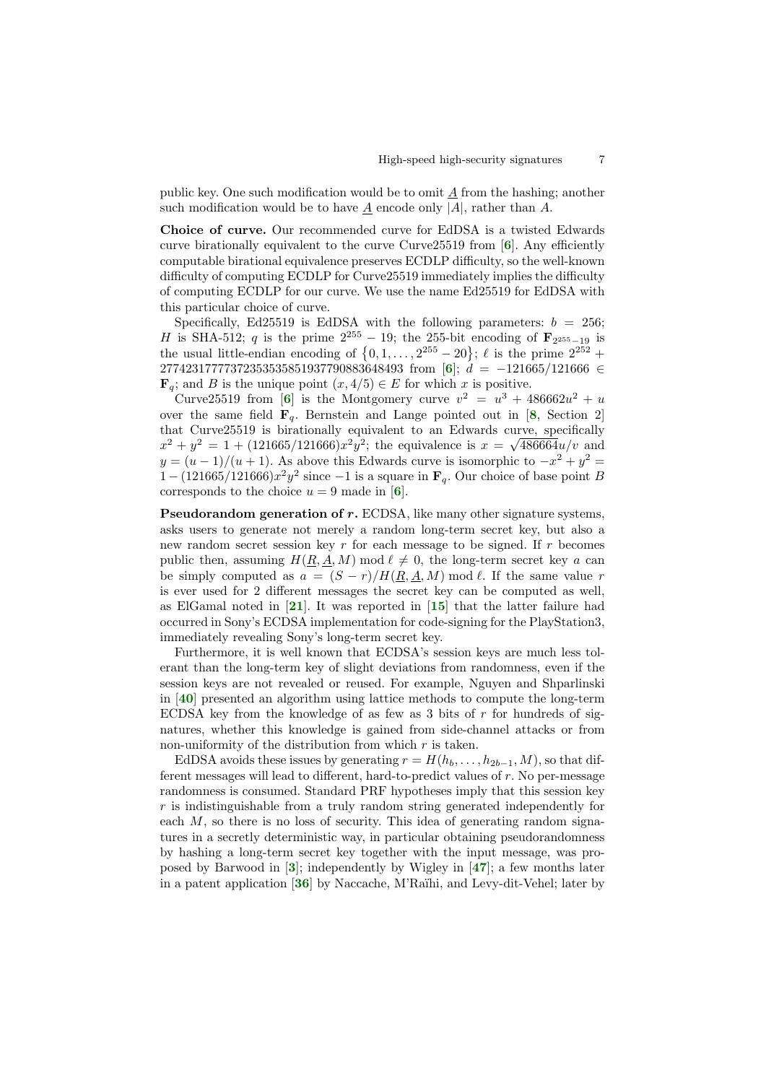public key. One such modification would be to omit  $A$  from the hashing; another such modification would be to have  $\underline{A}$  encode only |A|, rather than A.

<span id="page-6-1"></span>Choice of curve. Our recommended curve for EdDSA is a twisted Edwards curve birationally equivalent to the curve Curve25519 from [[6](#page-15-2)]. Any efficiently computable birational equivalence preserves ECDLP difficulty, so the well-known difficulty of computing ECDLP for Curve25519 immediately implies the difficulty of computing ECDLP for our curve. We use the name Ed25519 for EdDSA with this particular choice of curve.

Specifically, Ed25519 is EdDSA with the following parameters:  $b = 256$ ; H is SHA-512; q is the prime  $2^{255} - 19$ ; the 255-bit encoding of  $\mathbf{F}_{2^{255}-19}$  is the usual little-endian encoding of  $\{0, 1, \ldots, 2^{255} - 20\}$ ;  $\ell$  is the prime  $2^{252}$  + 27742317777372353535851937790883[6](#page-15-2)48493 from [6];  $d = -121665/121666 \in$  $\mathbf{F}_q$ ; and B is the unique point  $(x, 4/5) \in E$  for which x is positive.

<span id="page-6-5"></span><span id="page-6-3"></span><span id="page-6-2"></span>Curve25519 from [[6](#page-15-2)] is the Montgomery curve  $v^2 = u^3 + 486662u^2 + u$ over the same field  $\mathbf{F}_q$ . Bernstein and Lange pointed out in [[8](#page-15-4), Section 2] that Curve25519 is birationally equivalent to an Edwards curve, specifically  $x^2 + y^2 = 1 + (121665/121666)x^2y^2$ ; the equivalence is  $x = \sqrt{486664}u/v$  and  $y = (u - 1)/(u + 1)$ . As above this Edwards curve is isomorphic to  $-x^2 + y^2 =$  $1 - (121665/121666)x^2y^2$  since  $-1$  is a square in  $\mathbf{F}_q$ . Our choice of base point B corresponds to the choice  $u = 9$  made in [[6](#page-15-2)].

<span id="page-6-4"></span>Pseudorandom generation of r. ECDSA, like many other signature systems, asks users to generate not merely a random long-term secret key, but also a new random secret session key r for each message to be signed. If r becomes public then, assuming  $H(R, A, M) \text{ mod } \ell \neq 0$ , the long-term secret key a can be simply computed as  $a = (S - r)/H(R, A, M) \mod l$ . If the same value r is ever used for 2 different messages the secret key can be computed as well, as ElGamal noted in [[21](#page-16-9)]. It was reported in [[15](#page-16-10)] that the latter failure had occurred in Sony's ECDSA implementation for code-signing for the PlayStation3, immediately revealing Sony's long-term secret key.

<span id="page-6-9"></span><span id="page-6-7"></span><span id="page-6-6"></span>Furthermore, it is well known that ECDSA's session keys are much less tolerant than the long-term key of slight deviations from randomness, even if the session keys are not revealed or reused. For example, Nguyen and Shparlinski in [[40](#page-17-4)] presented an algorithm using lattice methods to compute the long-term ECDSA key from the knowledge of as few as 3 bits of  $r$  for hundreds of signatures, whether this knowledge is gained from side-channel attacks or from non-uniformity of the distribution from which  $r$  is taken.

<span id="page-6-10"></span><span id="page-6-8"></span><span id="page-6-0"></span>EdDSA avoids these issues by generating  $r = H(h_b, \ldots, h_{2b-1}, M)$ , so that different messages will lead to different, hard-to-predict values of r. No per-message randomness is consumed. Standard PRF hypotheses imply that this session key r is indistinguishable from a truly random string generated independently for each  $M$ , so there is no loss of security. This idea of generating random signatures in a secretly deterministic way, in particular obtaining pseudorandomness by hashing a long-term secret key together with the input message, was proposed by Barwood in [[3](#page-15-5)]; independently by Wigley in [[47](#page-17-5)]; a few months later in a patent application [[36](#page-17-6)] by Naccache, M'Raïhi, and Levy-dit-Vehel; later by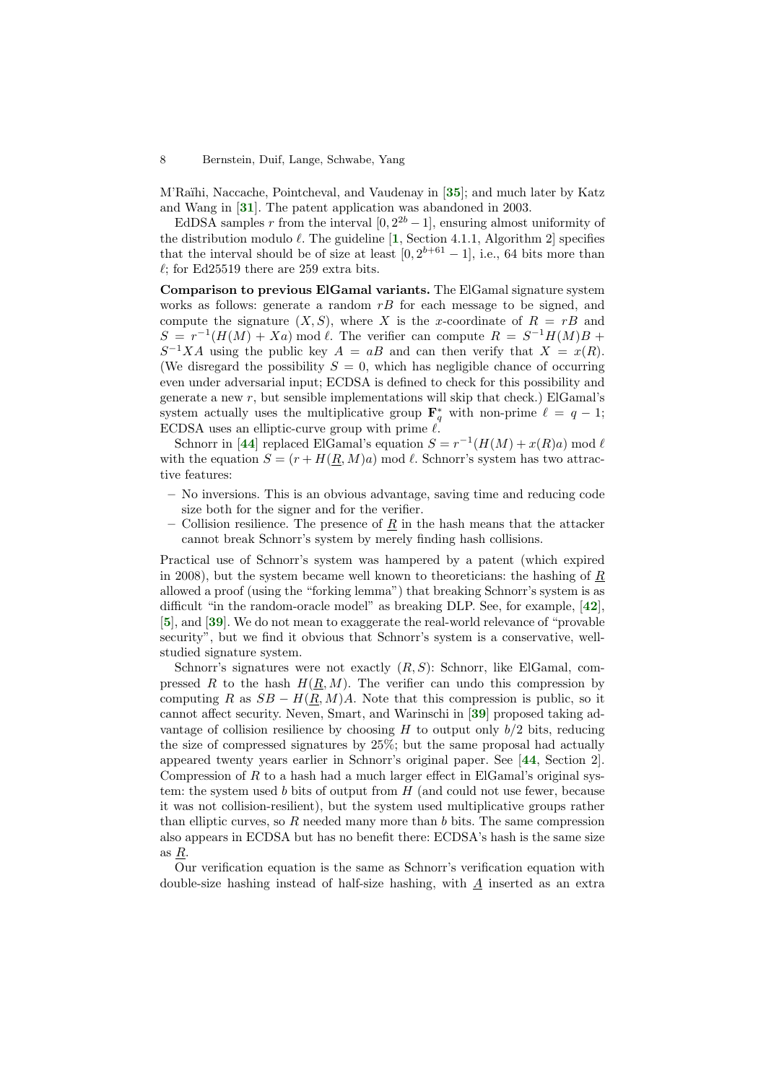<span id="page-7-3"></span><span id="page-7-2"></span>M'Raïhi, Naccache, Pointcheval, and Vaudenay in [[35](#page-17-7)]; and much later by Katz and Wang in [[31](#page-16-11)]. The patent application was abandoned in 2003.

<span id="page-7-0"></span>EdDSA samples r from the interval  $[0, 2^{2b} - 1]$ , ensuring almost uniformity of the distribution modulo  $\ell$ . The guideline [[1](#page-15-6), Section 4.1.1, Algorithm 2] specifies that the interval should be of size at least  $[0, 2^{b+61} - 1]$ , i.e., 64 bits more than  $\ell$ ; for Ed25519 there are 259 extra bits.

Comparison to previous ElGamal variants. The ElGamal signature system works as follows: generate a random  $rB$  for each message to be signed, and compute the signature  $(X, S)$ , where X is the x-coordinate of  $R = rB$  and  $S = r^{-1}(H(M) + Xa)$  mod  $\ell$ . The verifier can compute  $R = S^{-1}H(M)B +$  $S^{-1}XA$  using the public key  $A = aB$  and can then verify that  $X = x(R)$ . (We disregard the possibility  $S = 0$ , which has negligible chance of occurring even under adversarial input; ECDSA is defined to check for this possibility and generate a new r, but sensible implementations will skip that check.) ElGamal's system actually uses the multiplicative group  $\mathbf{F}_q^*$  with non-prime  $\ell = q - 1$ ; ECDSA uses an elliptic-curve group with prime  $\ell$ .

<span id="page-7-7"></span>Schnorr in [[44](#page-17-2)] replaced ElGamal's equation  $S = r^{-1}(H(M) + x(R)a) \mod \ell$ with the equation  $S = (r + H(R, M)a) \bmod l$ . Schnorr's system has two attractive features:

- No inversions. This is an obvious advantage, saving time and reducing code size both for the signer and for the verifier.
- <span id="page-7-6"></span>– Collision resilience. The presence of  $\underline{R}$  in the hash means that the attacker cannot break Schnorr's system by merely finding hash collisions.

Practical use of Schnorr's system was hampered by a patent (which expired in 2008), but the system became well known to theoreticians: the hashing of R allowed a proof (using the "forking lemma") that breaking Schnorr's system is as difficult "in the random-oracle model" as breaking DLP. See, for example, [[42](#page-17-8)], [[5](#page-15-7)], and [[39](#page-17-9)]. We do not mean to exaggerate the real-world relevance of "provable security", but we find it obvious that Schnorr's system is a conservative, wellstudied signature system.

<span id="page-7-8"></span><span id="page-7-5"></span><span id="page-7-4"></span><span id="page-7-1"></span>Schnorr's signatures were not exactly  $(R, S)$ : Schnorr, like ElGamal, compressed R to the hash  $H(R, M)$ . The verifier can undo this compression by computing R as  $SB - H(R, M)A$ . Note that this compression is public, so it cannot affect security. Neven, Smart, and Warinschi in [[39](#page-17-9)] proposed taking advantage of collision resilience by choosing  $H$  to output only  $b/2$  bits, reducing the size of compressed signatures by 25%; but the same proposal had actually appeared twenty years earlier in Schnorr's original paper. See [[44](#page-17-2), Section 2]. Compression of  $R$  to a hash had a much larger effect in ElGamal's original system: the system used  $b$  bits of output from  $H$  (and could not use fewer, because it was not collision-resilient), but the system used multiplicative groups rather than elliptic curves, so  $R$  needed many more than  $b$  bits. The same compression also appears in ECDSA but has no benefit there: ECDSA's hash is the same size as R.

Our verification equation is the same as Schnorr's verification equation with double-size hashing instead of half-size hashing, with  $\overline{A}$  inserted as an extra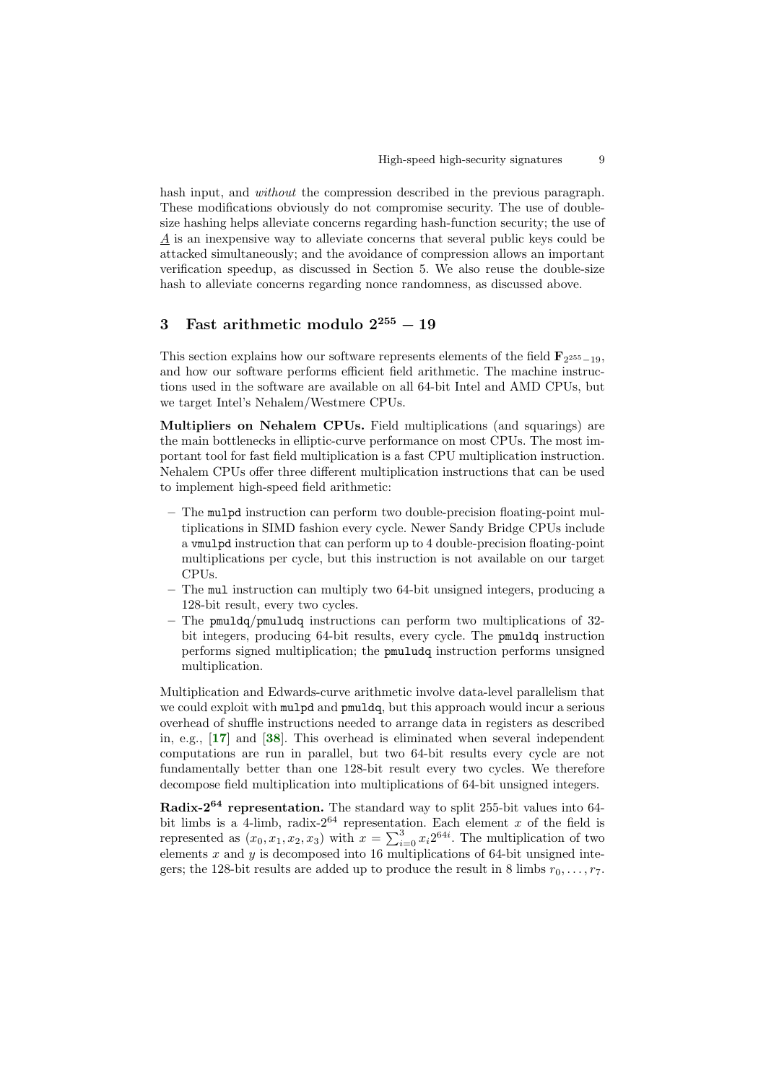hash input, and *without* the compression described in the previous paragraph. These modifications obviously do not compromise security. The use of doublesize hashing helps alleviate concerns regarding hash-function security; the use of A is an inexpensive way to alleviate concerns that several public keys could be attacked simultaneously; and the avoidance of compression allows an important verification speedup, as discussed in Section 5. We also reuse the double-size hash to alleviate concerns regarding nonce randomness, as discussed above.

# 3 Fast arithmetic modulo  $2^{255} - 19$

This section explains how our software represents elements of the field  $\mathbf{F}_{2^{255}-19}$ , and how our software performs efficient field arithmetic. The machine instructions used in the software are available on all 64-bit Intel and AMD CPUs, but we target Intel's Nehalem/Westmere CPUs.

Multipliers on Nehalem CPUs. Field multiplications (and squarings) are the main bottlenecks in elliptic-curve performance on most CPUs. The most important tool for fast field multiplication is a fast CPU multiplication instruction. Nehalem CPUs offer three different multiplication instructions that can be used to implement high-speed field arithmetic:

- The mulpd instruction can perform two double-precision floating-point multiplications in SIMD fashion every cycle. Newer Sandy Bridge CPUs include a vmulpd instruction that can perform up to 4 double-precision floating-point multiplications per cycle, but this instruction is not available on our target CPUs.
- The mul instruction can multiply two 64-bit unsigned integers, producing a 128-bit result, every two cycles.
- The pmuldq/pmuludq instructions can perform two multiplications of 32 bit integers, producing 64-bit results, every cycle. The pmuldq instruction performs signed multiplication; the pmuludq instruction performs unsigned multiplication.

<span id="page-8-1"></span><span id="page-8-0"></span>Multiplication and Edwards-curve arithmetic involve data-level parallelism that we could exploit with mulpd and pmuldq, but this approach would incur a serious overhead of shuffle instructions needed to arrange data in registers as described in, e.g., [[17](#page-16-12)] and [[38](#page-17-10)]. This overhead is eliminated when several independent computations are run in parallel, but two 64-bit results every cycle are not fundamentally better than one 128-bit result every two cycles. We therefore decompose field multiplication into multiplications of 64-bit unsigned integers.

Radix-2<sup>64</sup> representation. The standard way to split 255-bit values into 64 bit limbs is a 4-limb, radix- $2^{64}$  representation. Each element x of the field is represented as  $(x_0, x_1, x_2, x_3)$  with  $x = \sum_{i=0}^{3} x_i 2^{64i}$ . The multiplication of two elements  $x$  and  $y$  is decomposed into 16 multiplications of 64-bit unsigned integers; the 128-bit results are added up to produce the result in 8 limbs  $r_0, \ldots, r_7$ .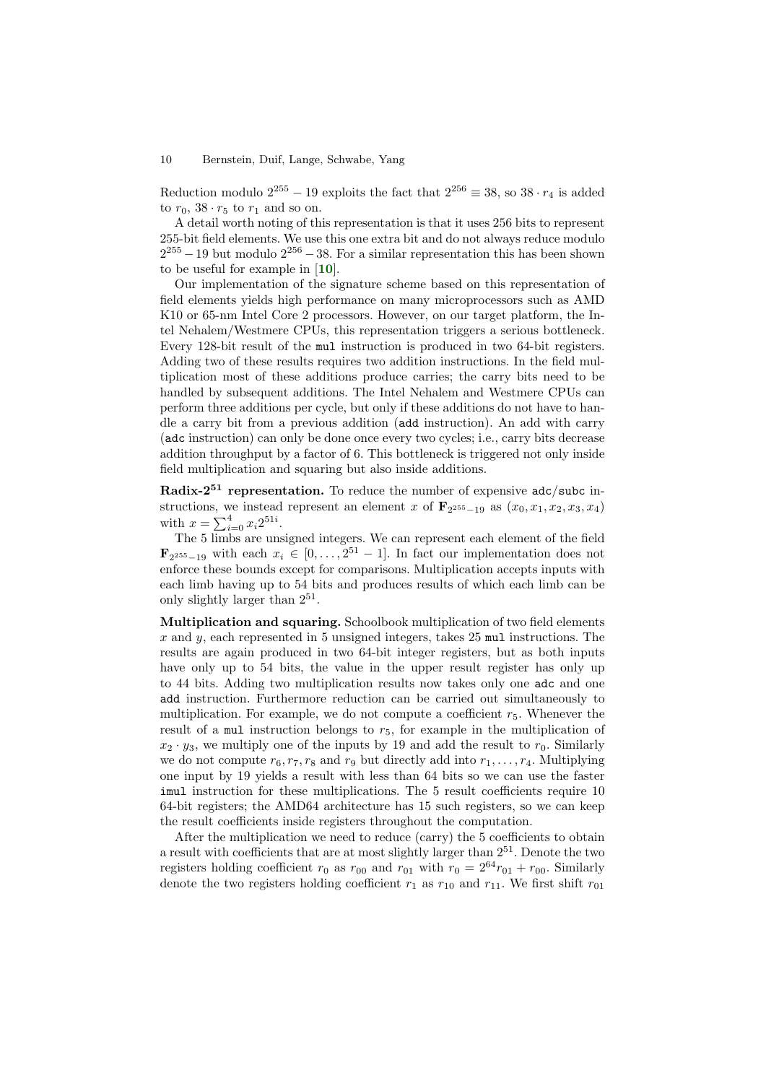Reduction modulo  $2^{255} - 19$  exploits the fact that  $2^{256} \equiv 38$ , so  $38 \cdot r_4$  is added to  $r_0$ ,  $38 \cdot r_5$  to  $r_1$  and so on.

A detail worth noting of this representation is that it uses 256 bits to represent 255-bit field elements. We use this one extra bit and do not always reduce modulo  $2^{255} - 19$  but modulo  $2^{256} - 38$ . For a similar representation this has been shown to be useful for example in [[10](#page-15-8)].

<span id="page-9-0"></span>Our implementation of the signature scheme based on this representation of field elements yields high performance on many microprocessors such as AMD K10 or 65-nm Intel Core 2 processors. However, on our target platform, the Intel Nehalem/Westmere CPUs, this representation triggers a serious bottleneck. Every 128-bit result of the mul instruction is produced in two 64-bit registers. Adding two of these results requires two addition instructions. In the field multiplication most of these additions produce carries; the carry bits need to be handled by subsequent additions. The Intel Nehalem and Westmere CPUs can perform three additions per cycle, but only if these additions do not have to handle a carry bit from a previous addition (add instruction). An add with carry (adc instruction) can only be done once every two cycles; i.e., carry bits decrease addition throughput by a factor of 6. This bottleneck is triggered not only inside field multiplication and squaring but also inside additions.

**Radix-2<sup>51</sup>** representation. To reduce the number of expensive  $\frac{adc}{subc}$  instructions, we instead represent an element x of  $\mathbf{F}_{2^{255}-19}$  as  $(x_0, x_1, x_2, x_3, x_4)$ with  $x = \sum_{i=0}^{4} x_i 2^{51i}$ .

The 5 limbs are unsigned integers. We can represent each element of the field  $\mathbf{F}_{2^{255}-19}$  with each  $x_i \in [0,\ldots,2^{51}-1]$ . In fact our implementation does not enforce these bounds except for comparisons. Multiplication accepts inputs with each limb having up to 54 bits and produces results of which each limb can be only slightly larger than  $2^{51}$ .

Multiplication and squaring. Schoolbook multiplication of two field elements  $x$  and  $y$ , each represented in 5 unsigned integers, takes 25 mul instructions. The results are again produced in two 64-bit integer registers, but as both inputs have only up to 54 bits, the value in the upper result register has only up to 44 bits. Adding two multiplication results now takes only one adc and one add instruction. Furthermore reduction can be carried out simultaneously to multiplication. For example, we do not compute a coefficient  $r_5$ . Whenever the result of a multiplication belongs to  $r_5$ , for example in the multiplication of  $x_2 \cdot y_3$ , we multiply one of the inputs by 19 and add the result to  $r_0$ . Similarly we do not compute  $r_6, r_7, r_8$  and  $r_9$  but directly add into  $r_1, \ldots, r_4$ . Multiplying one input by 19 yields a result with less than 64 bits so we can use the faster imul instruction for these multiplications. The 5 result coefficients require 10 64-bit registers; the AMD64 architecture has 15 such registers, so we can keep the result coefficients inside registers throughout the computation.

After the multiplication we need to reduce (carry) the 5 coefficients to obtain a result with coefficients that are at most slightly larger than  $2^{51}$ . Denote the two registers holding coefficient  $r_0$  as  $r_{00}$  and  $r_{01}$  with  $r_0 = 2^{64}r_{01} + r_{00}$ . Similarly denote the two registers holding coefficient  $r_1$  as  $r_{10}$  and  $r_{11}$ . We first shift  $r_{01}$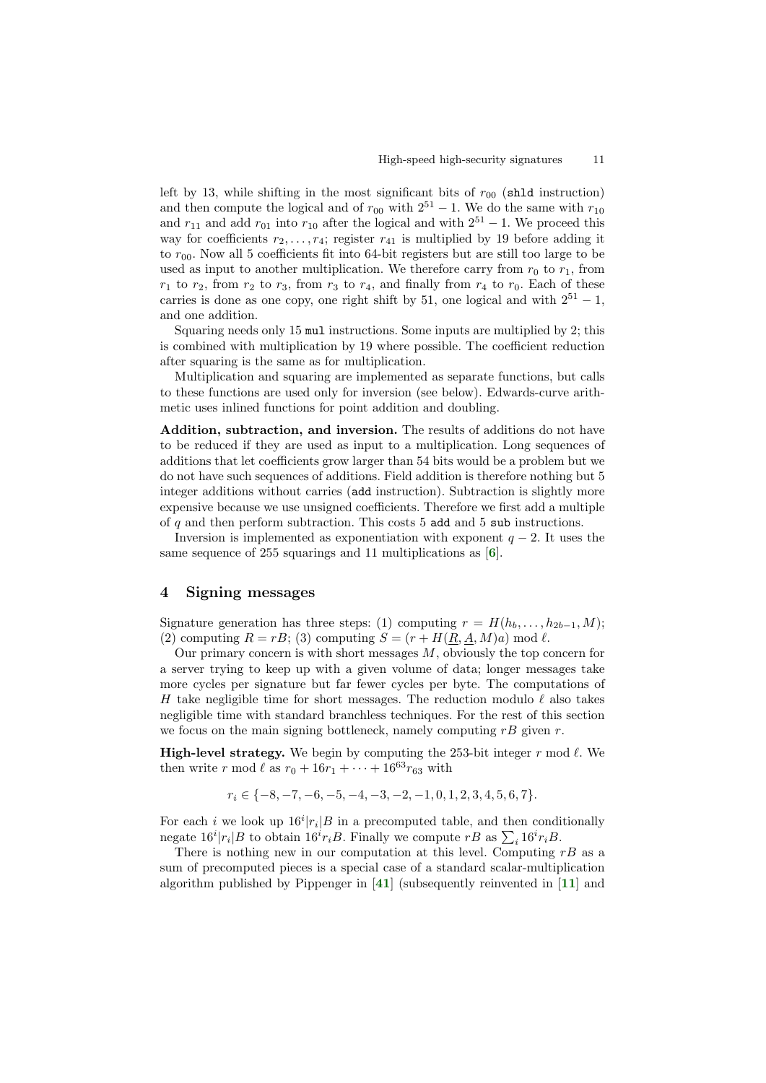left by 13, while shifting in the most significant bits of  $r_{00}$  (shld instruction) and then compute the logical and of  $r_{00}$  with  $2^{51} - 1$ . We do the same with  $r_{10}$ and  $r_{11}$  and add  $r_{01}$  into  $r_{10}$  after the logical and with  $2^{51} - 1$ . We proceed this way for coefficients  $r_2, \ldots, r_4$ ; register  $r_{41}$  is multiplied by 19 before adding it to  $r_{00}$ . Now all 5 coefficients fit into 64-bit registers but are still too large to be used as input to another multiplication. We therefore carry from  $r_0$  to  $r_1$ , from  $r_1$  to  $r_2$ , from  $r_2$  to  $r_3$ , from  $r_3$  to  $r_4$ , and finally from  $r_4$  to  $r_0$ . Each of these carries is done as one copy, one right shift by 51, one logical and with  $2^{51} - 1$ , and one addition.

Squaring needs only 15 mul instructions. Some inputs are multiplied by 2; this is combined with multiplication by 19 where possible. The coefficient reduction after squaring is the same as for multiplication.

Multiplication and squaring are implemented as separate functions, but calls to these functions are used only for inversion (see below). Edwards-curve arithmetic uses inlined functions for point addition and doubling.

Addition, subtraction, and inversion. The results of additions do not have to be reduced if they are used as input to a multiplication. Long sequences of additions that let coefficients grow larger than 54 bits would be a problem but we do not have such sequences of additions. Field addition is therefore nothing but 5 integer additions without carries (add instruction). Subtraction is slightly more expensive because we use unsigned coefficients. Therefore we first add a multiple of  $q$  and then perform subtraction. This costs 5 add and 5 sub instructions.

<span id="page-10-0"></span>Inversion is implemented as exponentiation with exponent  $q - 2$ . It uses the same sequence of 255 squarings and 11 multiplications as  $[6]$  $[6]$  $[6]$ .

## 4 Signing messages

Signature generation has three steps: (1) computing  $r = H(h_b, \ldots, h_{2b-1}, M);$ (2) computing  $R = rB$ ; (3) computing  $S = (r + H(\underline{R}, \underline{A}, M)a) \bmod l$ .

Our primary concern is with short messages  $M$ , obviously the top concern for a server trying to keep up with a given volume of data; longer messages take more cycles per signature but far fewer cycles per byte. The computations of H take negligible time for short messages. The reduction modulo  $\ell$  also takes negligible time with standard branchless techniques. For the rest of this section we focus on the main signing bottleneck, namely computing  $rB$  given  $r$ .

**High-level strategy.** We begin by computing the 253-bit integer  $r \mod l$ . We then write r mod  $\ell$  as  $r_0 + 16r_1 + \cdots + 16^{63}r_{63}$  with

<span id="page-10-2"></span><span id="page-10-1"></span>
$$
r_i \in \{-8, -7, -6, -5, -4, -3, -2, -1, 0, 1, 2, 3, 4, 5, 6, 7\}.
$$

For each *i* we look up  $16^{i}|r_{i}|B$  in a precomputed table, and then conditionally negate  $16^i |r_i| B$  to obtain  $16^i r_i B$ . Finally we compute  $rB$  as  $\sum_i 16^i r_i B$ .

There is nothing new in our computation at this level. Computing  $rB$  as a sum of precomputed pieces is a special case of a standard scalar-multiplication algorithm published by Pippenger in [[41](#page-17-11)] (subsequently reinvented in [[11](#page-15-9)] and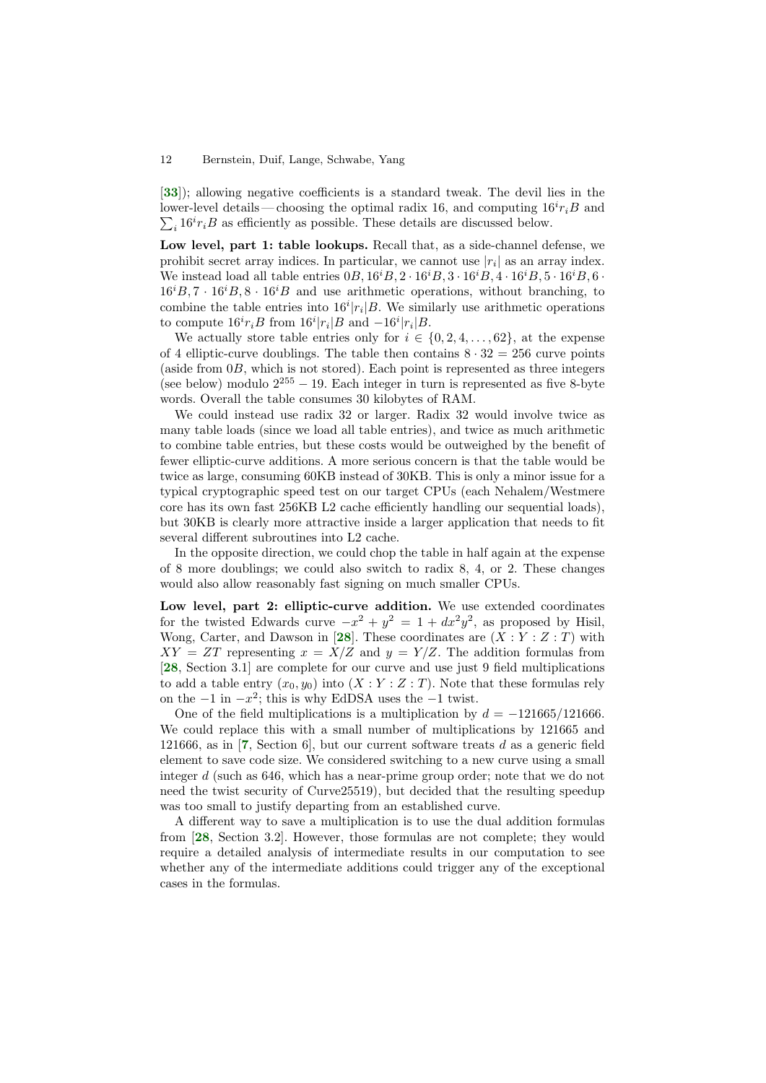<span id="page-11-4"></span>[[33](#page-17-12)]); allowing negative coefficients is a standard tweak. The devil lies in the lower-level details—choosing the optimal radix 16, and computing  $16i r_i B$  and  $\sum_i 16^i r_i B$  as efficiently as possible. These details are discussed below.

Low level, part 1: table lookups. Recall that, as a side-channel defense, we prohibit secret array indices. In particular, we cannot use  $|r_i|$  as an array index. We instead load all table entries  $(0, 16^iB, 2 \cdot 16^iB, 3 \cdot 16^iB, 4 \cdot 16^iB, 5 \cdot 16^iB, 6 \cdot$  $16^{i}B$ ,  $7 \cdot 16^{i}B$ ,  $8 \cdot 16^{i}B$  and use arithmetic operations, without branching, to combine the table entries into  $16^i |r_i| B$ . We similarly use arithmetic operations to compute  $16^{i}r_{i}B$  from  $16^{i}|r_{i}|B$  and  $-16^{i}|r_{i}|B$ .

We actually store table entries only for  $i \in \{0, 2, 4, \ldots, 62\}$ , at the expense of 4 elliptic-curve doublings. The table then contains  $8 \cdot 32 = 256$  curve points (aside from 0B, which is not stored). Each point is represented as three integers (see below) modulo  $2^{255} - 19$ . Each integer in turn is represented as five 8-byte words. Overall the table consumes 30 kilobytes of RAM.

We could instead use radix 32 or larger. Radix 32 would involve twice as many table loads (since we load all table entries), and twice as much arithmetic to combine table entries, but these costs would be outweighed by the benefit of fewer elliptic-curve additions. A more serious concern is that the table would be twice as large, consuming 60KB instead of 30KB. This is only a minor issue for a typical cryptographic speed test on our target CPUs (each Nehalem/Westmere core has its own fast 256KB L2 cache efficiently handling our sequential loads), but 30KB is clearly more attractive inside a larger application that needs to fit several different subroutines into L2 cache.

In the opposite direction, we could chop the table in half again at the expense of 8 more doublings; we could also switch to radix 8, 4, or 2. These changes would also allow reasonably fast signing on much smaller CPUs.

<span id="page-11-1"></span>Low level, part 2: elliptic-curve addition. We use extended coordinates for the twisted Edwards curve  $-x^2 + y^2 = 1 + dx^2y^2$ , as proposed by Hisil, Wong, Carter, and Dawson in [[28](#page-16-13)]. These coordinates are  $(X:Y:Z:T)$  with  $XY = ZT$  representing  $x = X/Z$  and  $y = Y/Z$ . The addition formulas from [[28](#page-16-13), Section 3.1] are complete for our curve and use just 9 field multiplications to add a table entry  $(x_0, y_0)$  into  $(X:Y:Z:T)$ . Note that these formulas rely on the  $-1$  in  $-x^2$ ; this is why EdDSA uses the  $-1$  twist.

<span id="page-11-2"></span><span id="page-11-0"></span>One of the field multiplications is a multiplication by  $d = -121665/121666$ . We could replace this with a small number of multiplications by 121665 and 121666, as in  $[7,$  $[7,$  $[7,$  Section 6, but our current software treats d as a generic field element to save code size. We considered switching to a new curve using a small integer  $d$  (such as 646, which has a near-prime group order; note that we do not need the twist security of Curve25519), but decided that the resulting speedup was too small to justify departing from an established curve.

<span id="page-11-3"></span>A different way to save a multiplication is to use the dual addition formulas from [[28](#page-16-13), Section 3.2]. However, those formulas are not complete; they would require a detailed analysis of intermediate results in our computation to see whether any of the intermediate additions could trigger any of the exceptional cases in the formulas.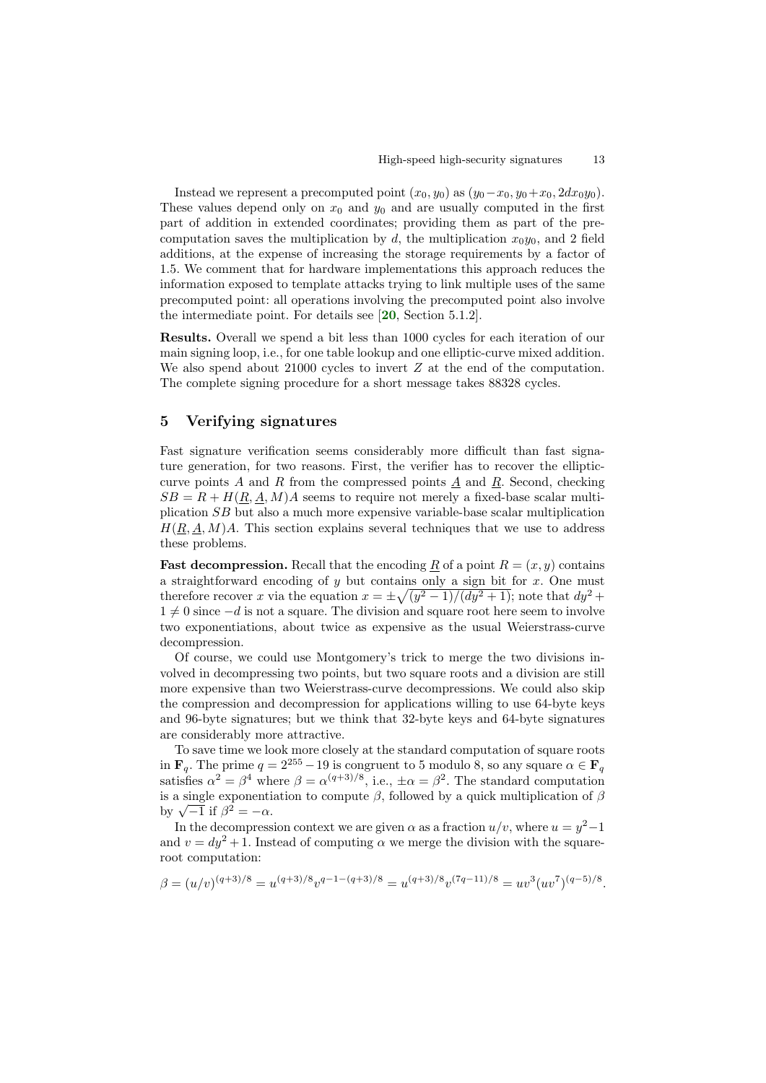Instead we represent a precomputed point  $(x_0, y_0)$  as  $(y_0-x_0, y_0+x_0, 2dx_0y_0)$ . These values depend only on  $x_0$  and  $y_0$  and are usually computed in the first part of addition in extended coordinates; providing them as part of the precomputation saves the multiplication by d, the multiplication  $x_0y_0$ , and 2 field additions, at the expense of increasing the storage requirements by a factor of 1.5. We comment that for hardware implementations this approach reduces the information exposed to template attacks trying to link multiple uses of the same precomputed point: all operations involving the precomputed point also involve the intermediate point. For details see [[20](#page-16-14), Section 5.1.2].

<span id="page-12-0"></span>Results. Overall we spend a bit less than 1000 cycles for each iteration of our main signing loop, i.e., for one table lookup and one elliptic-curve mixed addition. We also spend about 21000 cycles to invert  $Z$  at the end of the computation. The complete signing procedure for a short message takes 88328 cycles.

## 5 Verifying signatures

Fast signature verification seems considerably more difficult than fast signature generation, for two reasons. First, the verifier has to recover the ellipticcurve points  $A$  and  $R$  from the compressed points  $\underline{A}$  and  $\underline{R}$ . Second, checking  $SB = R + H(\underline{R}, \underline{A}, M)A$  seems to require not merely a fixed-base scalar multiplication SB but also a much more expensive variable-base scalar multiplication  $H(R, A, M)A$ . This section explains several techniques that we use to address these problems.

**Fast decompression.** Recall that the encoding R of a point  $R = (x, y)$  contains a straightforward encoding of  $y$  but contains only a sign bit for  $x$ . One must therefore recover x via the equation  $x = \pm \sqrt{(y^2 - 1)/(dy^2 + 1)}$ ; note that  $dy^2 +$  $1 \neq 0$  since  $-d$  is not a square. The division and square root here seem to involve two exponentiations, about twice as expensive as the usual Weierstrass-curve decompression.

Of course, we could use Montgomery's trick to merge the two divisions involved in decompressing two points, but two square roots and a division are still more expensive than two Weierstrass-curve decompressions. We could also skip the compression and decompression for applications willing to use 64-byte keys and 96-byte signatures; but we think that 32-byte keys and 64-byte signatures are considerably more attractive.

To save time we look more closely at the standard computation of square roots in  $\mathbf{F}_q$ . The prime  $q = 2^{255} - 19$  is congruent to 5 modulo 8, so any square  $\alpha \in \mathbf{F}_q$ satisfies  $\alpha^2 = \beta^4$  where  $\beta = \alpha^{(q+3)/8}$ , i.e.,  $\pm \alpha = \beta^2$ . The standard computation is a single exponentiation to compute  $\beta$ , followed by a quick multiplication of  $\beta$ is a single exponenti-<br>by  $\sqrt{-1}$  if  $\beta^2 = -\alpha$ .

In the decompression context we are given  $\alpha$  as a fraction  $u/v$ , where  $u = y^2-1$ and  $v = dy^2 + 1$ . Instead of computing  $\alpha$  we merge the division with the squareroot computation:

$$
\beta = (u/v)^{(q+3)/8} = u^{(q+3)/8}v^{q-1-(q+3)/8} = u^{(q+3)/8}v^{(7q-11)/8} = uv^3(uv^7)^{(q-5)/8}
$$

.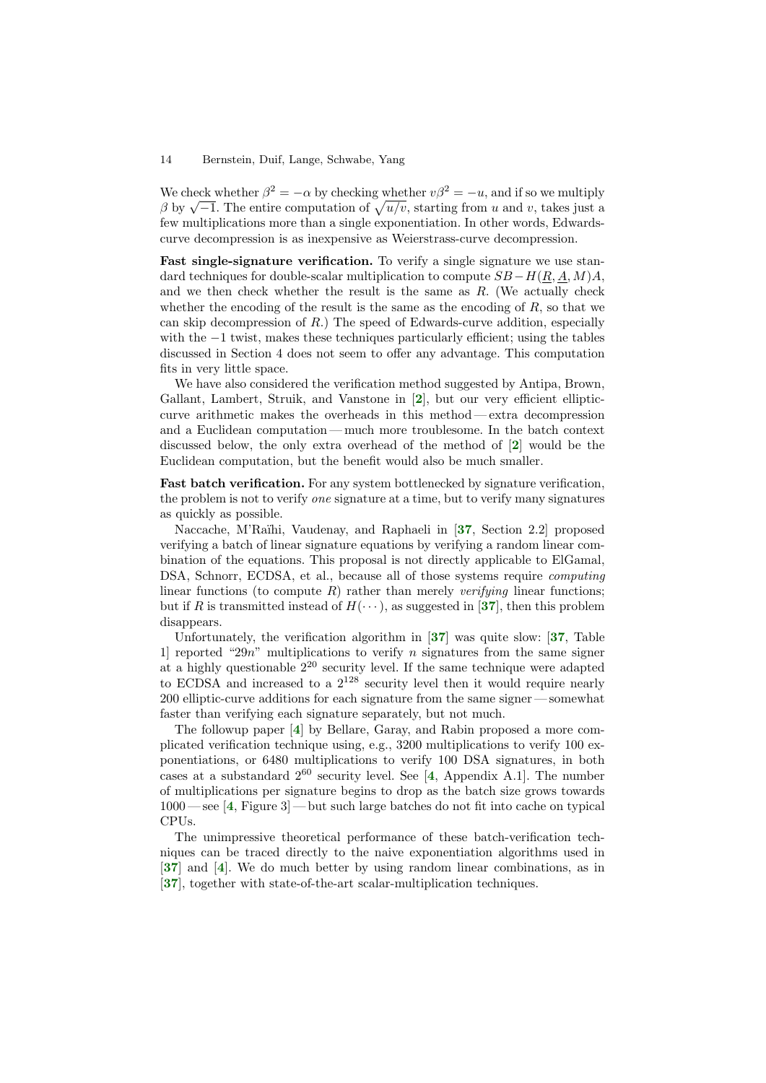We check whether  $\beta^2 = -\alpha$  by checking whether  $v\beta^2 = -u$ , and if so we multiply We check whether  $p^2 = -\alpha$  by checking whether  $v p^2 = -u$ , and if so we multiply  $\beta$  by  $\sqrt{-1}$ . The entire computation of  $\sqrt{u/v}$ , starting from u and v, takes just a few multiplications more than a single exponentiation. In other words, Edwardscurve decompression is as inexpensive as Weierstrass-curve decompression.

Fast single-signature verification. To verify a single signature we use standard techniques for double-scalar multiplication to compute  $SB-H(R, A, M)A$ , and we then check whether the result is the same as  $R$ . (We actually check whether the encoding of the result is the same as the encoding of  $R$ , so that we can skip decompression of R.) The speed of Edwards-curve addition, especially with the −1 twist, makes these techniques particularly efficient; using the tables discussed in Section 4 does not seem to offer any advantage. This computation fits in very little space.

<span id="page-13-0"></span>We have also considered the verification method suggested by Antipa, Brown, Gallant, Lambert, Struik, and Vanstone in [[2](#page-15-10)], but our very efficient ellipticcurve arithmetic makes the overheads in this method — extra decompression and a Euclidean computation— much more troublesome. In the batch context discussed below, the only extra overhead of the method of [[2](#page-15-10)] would be the Euclidean computation, but the benefit would also be much smaller.

<span id="page-13-1"></span>Fast batch verification. For any system bottlenecked by signature verification, the problem is not to verify one signature at a time, but to verify many signatures as quickly as possible.

<span id="page-13-6"></span>Naccache, M'Raïhi, Vaudenay, and Raphaeli in [[37](#page-17-13), Section 2.2] proposed verifying a batch of linear signature equations by verifying a random linear combination of the equations. This proposal is not directly applicable to ElGamal, DSA, Schnorr, ECDSA, et al., because all of those systems require *computing* linear functions (to compute R) rather than merely *verifying* linear functions; but if R is transmitted instead of  $H(\cdots)$ , as suggested in [[37](#page-17-13)], then this problem disappears.

<span id="page-13-9"></span><span id="page-13-8"></span><span id="page-13-7"></span>Unfortunately, the verification algorithm in [[37](#page-17-13)] was quite slow: [[37](#page-17-13), Table 1 reported "29n" multiplications to verify n signatures from the same signer at a highly questionable  $2^{20}$  security level. If the same technique were adapted to ECDSA and increased to a  $2^{128}$  security level then it would require nearly 200 elliptic-curve additions for each signature from the same signer — somewhat faster than verifying each signature separately, but not much.

<span id="page-13-3"></span><span id="page-13-2"></span>The followup paper [[4](#page-15-11)] by Bellare, Garay, and Rabin proposed a more complicated verification technique using, e.g., 3200 multiplications to verify 100 exponentiations, or 6480 multiplications to verify 100 DSA signatures, in both cases at a substandard  $2^{60}$  security level. See [[4](#page-15-11), Appendix A.1]. The number of multiplications per signature begins to drop as the batch size grows towards 1000 — see [[4](#page-15-11), Figure 3] — but such large batches do not fit into cache on typical CPUs.

<span id="page-13-11"></span><span id="page-13-10"></span><span id="page-13-5"></span><span id="page-13-4"></span>The unimpressive theoretical performance of these batch-verification techniques can be traced directly to the naive exponentiation algorithms used in [[37](#page-17-13)] and [[4](#page-15-11)]. We do much better by using random linear combinations, as in [[37](#page-17-13)], together with state-of-the-art scalar-multiplication techniques.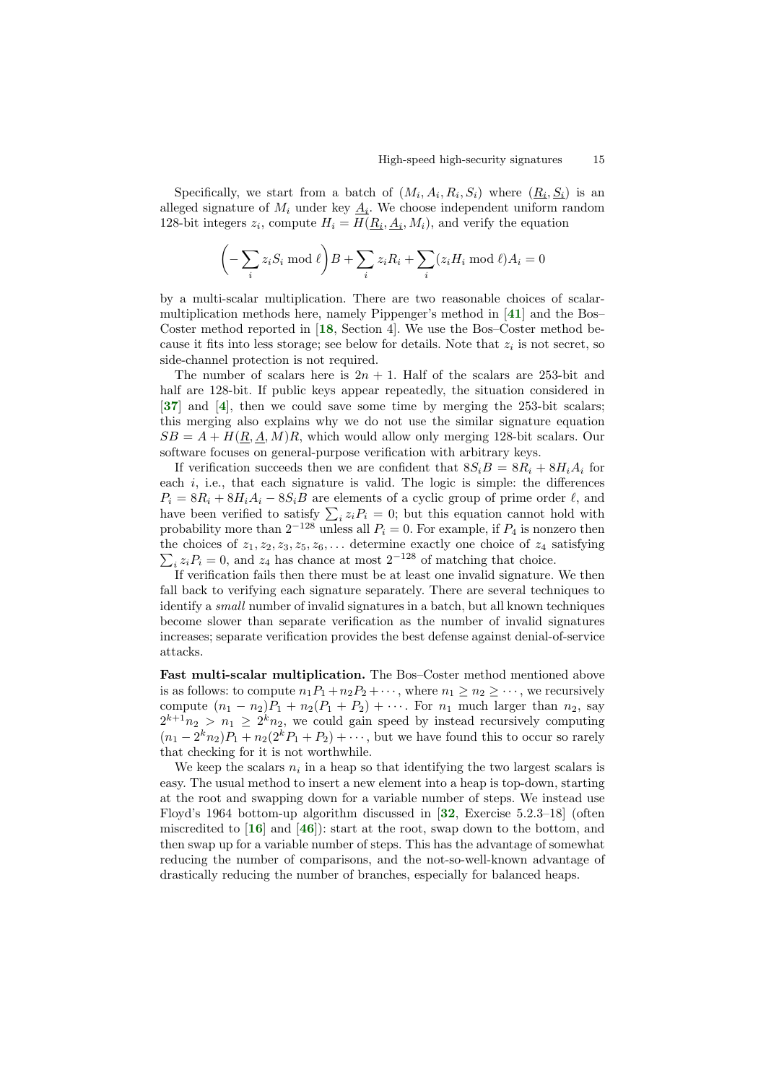Specifically, we start from a batch of  $(M_i, A_i, R_i, S_i)$  where  $(\underline{R_i}, \underline{S_i})$  is an alleged signature of  $M_i$  under key  $\underline{A_i}$ . We choose independent uniform random 128-bit integers  $z_i$ , compute  $H_i = H(\underline{R_i}, \underline{A_i}, M_i)$ , and verify the equation

<span id="page-14-5"></span><span id="page-14-2"></span>
$$
\left(-\sum_{i} z_i S_i \bmod \ell\right) B + \sum_{i} z_i R_i + \sum_{i} (z_i H_i \bmod \ell) A_i = 0
$$

by a multi-scalar multiplication. There are two reasonable choices of scalarmultiplication methods here, namely Pippenger's method in [[41](#page-17-11)] and the Bos– Coster method reported in [[18](#page-16-15), Section 4]. We use the Bos–Coster method because it fits into less storage; see below for details. Note that  $z_i$  is not secret, so side-channel protection is not required.

<span id="page-14-4"></span><span id="page-14-0"></span>The number of scalars here is  $2n + 1$ . Half of the scalars are 253-bit and half are 128-bit. If public keys appear repeatedly, the situation considered in [[37](#page-17-13)] and [[4](#page-15-11)], then we could save some time by merging the 253-bit scalars; this merging also explains why we do not use the similar signature equation  $SB = A + H(R, A, M)R$ , which would allow only merging 128-bit scalars. Our software focuses on general-purpose verification with arbitrary keys.

If verification succeeds then we are confident that  $8S_iB = 8R_i + 8H_iA_i$  for each  $i$ , i.e., that each signature is valid. The logic is simple: the differences  $P_i = 8R_i + 8H_iA_i - 8S_iB$  are elements of a cyclic group of prime order  $\ell$ , and have been verified to satisfy  $\sum_i z_i P_i = 0$ ; but this equation cannot hold with probability more than  $2^{-128}$  unless all  $P_i = 0$ . For example, if  $P_4$  is nonzero then the choices of P  $z_1, z_2, z_3, z_5, z_6, \ldots$  determine exactly one choice of  $z_4$  satisfying  $i_z z_i P_i = 0$ , and  $z_4$  has chance at most  $2^{-128}$  of matching that choice.

If verification fails then there must be at least one invalid signature. We then fall back to verifying each signature separately. There are several techniques to identify a small number of invalid signatures in a batch, but all known techniques become slower than separate verification as the number of invalid signatures increases; separate verification provides the best defense against denial-of-service attacks.

Fast multi-scalar multiplication. The Bos–Coster method mentioned above is as follows: to compute  $n_1P_1 + n_2P_2 + \cdots$ , where  $n_1 \geq n_2 \geq \cdots$ , we recursively compute  $(n_1 - n_2)P_1 + n_2(P_1 + P_2) + \cdots$ . For  $n_1$  much larger than  $n_2$ , say  $2^{k+1}n_2 > n_1 \geq 2^k n_2$ , we could gain speed by instead recursively computing  $(n_1 - 2^k n_2)P_1 + n_2(2^k P_1 + P_2) + \cdots$ , but we have found this to occur so rarely that checking for it is not worthwhile.

<span id="page-14-6"></span><span id="page-14-3"></span><span id="page-14-1"></span>We keep the scalars  $n_i$  in a heap so that identifying the two largest scalars is easy. The usual method to insert a new element into a heap is top-down, starting at the root and swapping down for a variable number of steps. We instead use Floyd's 1964 bottom-up algorithm discussed in [[32](#page-17-14), Exercise 5.2.3–18] (often miscredited to  $[16]$  $[16]$  $[16]$  and  $[46]$  $[46]$  $[46]$ : start at the root, swap down to the bottom, and then swap up for a variable number of steps. This has the advantage of somewhat reducing the number of comparisons, and the not-so-well-known advantage of drastically reducing the number of branches, especially for balanced heaps.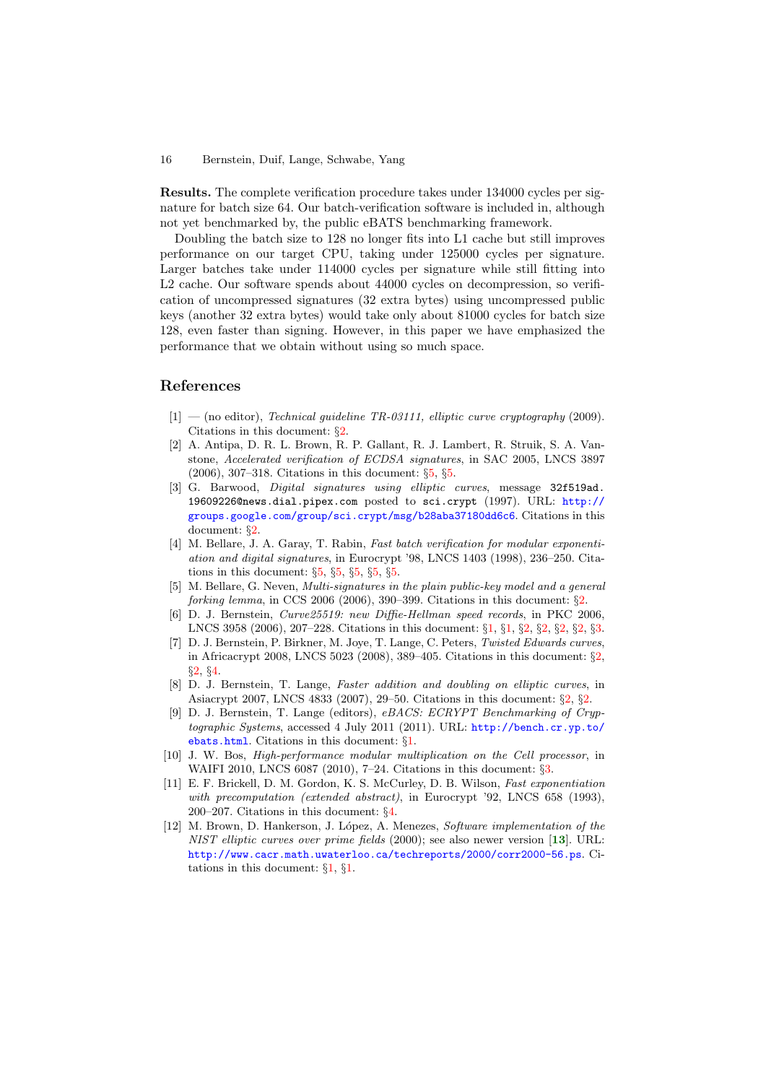Results. The complete verification procedure takes under 134000 cycles per signature for batch size 64. Our batch-verification software is included in, although not yet benchmarked by, the public eBATS benchmarking framework.

Doubling the batch size to 128 no longer fits into L1 cache but still improves performance on our target CPU, taking under 125000 cycles per signature. Larger batches take under 114000 cycles per signature while still fitting into L2 cache. Our software spends about 44000 cycles on decompression, so verification of uncompressed signatures (32 extra bytes) using uncompressed public keys (another 32 extra bytes) would take only about 81000 cycles for batch size 128, even faster than signing. However, in this paper we have emphasized the performance that we obtain without using so much space.

## References

- <span id="page-15-6"></span>[1] — (no editor), Technical guideline TR-03111, elliptic curve cryptography (2009). Citations in this document: §[2.](#page-7-0)
- <span id="page-15-10"></span>[2] A. Antipa, D. R. L. Brown, R. P. Gallant, R. J. Lambert, R. Struik, S. A. Vanstone, Accelerated verification of ECDSA signatures, in SAC 2005, LNCS 3897 (2006), 307–318. Citations in this document: §[5,](#page-13-0) §[5](#page-13-1).
- <span id="page-15-5"></span>[3] G. Barwood, *Digital signatures using elliptic curves*, message 32f519ad. 19609226@news.dial.pipex.com posted to sci.crypt (1997). URL: [http://](http://groups.google.com/group/sci.crypt/msg/b28aba37180dd6c6) [groups.google.com/group/sci.crypt/msg/b28aba37180dd6c6](http://groups.google.com/group/sci.crypt/msg/b28aba37180dd6c6). Citations in this document: §[2.](#page-6-0)
- <span id="page-15-11"></span>[4] M. Bellare, J. A. Garay, T. Rabin, Fast batch verification for modular exponentiation and digital signatures, in Eurocrypt '98, LNCS 1403 (1998), 236–250. Citations in this document:  $\S5$  $\S5$ ,  $\S5$ ,  $\S5$ ,  $\S5$ ,  $\S5$ .
- <span id="page-15-7"></span>[5] M. Bellare, G. Neven, Multi-signatures in the plain public-key model and a general forking lemma, in CCS 2006 (2006), 390–399. Citations in this document:  $\S2$ .
- <span id="page-15-2"></span>[6] D. J. Bernstein, Curve25519: new Diffie-Hellman speed records, in PKC 2006, LNCS 3958 (2006), 207–228. Citations in this document: §[1,](#page-2-0) §[1,](#page-3-0) §[2,](#page-6-1) §[2,](#page-6-2) §[2,](#page-6-3) §[2,](#page-6-4) §[3.](#page-10-0)
- <span id="page-15-3"></span>[7] D. J. Bernstein, P. Birkner, M. Joye, T. Lange, C. Peters, Twisted Edwards curves, in Africacrypt 2008, LNCS 5023 (2008), 389–405. Citations in this document: §[2,](#page-4-0) §[2,](#page-4-1) §[4](#page-11-0).
- <span id="page-15-4"></span>[8] D. J. Bernstein, T. Lange, Faster addition and doubling on elliptic curves, in Asiacrypt 2007, LNCS 4833 (2007), 29–50. Citations in this document: §[2,](#page-4-2) §[2](#page-6-5).
- <span id="page-15-0"></span>[9] D. J. Bernstein, T. Lange (editors), eBACS: ECRYPT Benchmarking of Cryptographic Systems, accessed 4 July 2011 (2011). URL: [http://bench.cr.yp.to/](http://bench.cr.yp.to/ebats.html) [ebats.html](http://bench.cr.yp.to/ebats.html). Citations in this document: §[1](#page-1-0).
- <span id="page-15-8"></span>[10] J. W. Bos, High-performance modular multiplication on the Cell processor, in WAIFI 2010, LNCS 6087 (2010), 7–24. Citations in this document: §[3](#page-9-0).
- <span id="page-15-9"></span>[11] E. F. Brickell, D. M. Gordon, K. S. McCurley, D. B. Wilson, Fast exponentiation with precomputation (extended abstract), in Eurocrypt '92, LNCS 658 (1993), 200–207. Citations in this document: §[4.](#page-10-1)
- <span id="page-15-1"></span>[12] M. Brown, D. Hankerson, J. López, A. Menezes, Software implementation of the NIST elliptic curves over prime fields (2000); see also newer version [[13](#page-16-17)]. URL: <http://www.cacr.math.uwaterloo.ca/techreports/2000/corr2000-56.ps>. Citations in this document: §[1](#page-2-1), §[1.](#page-3-1)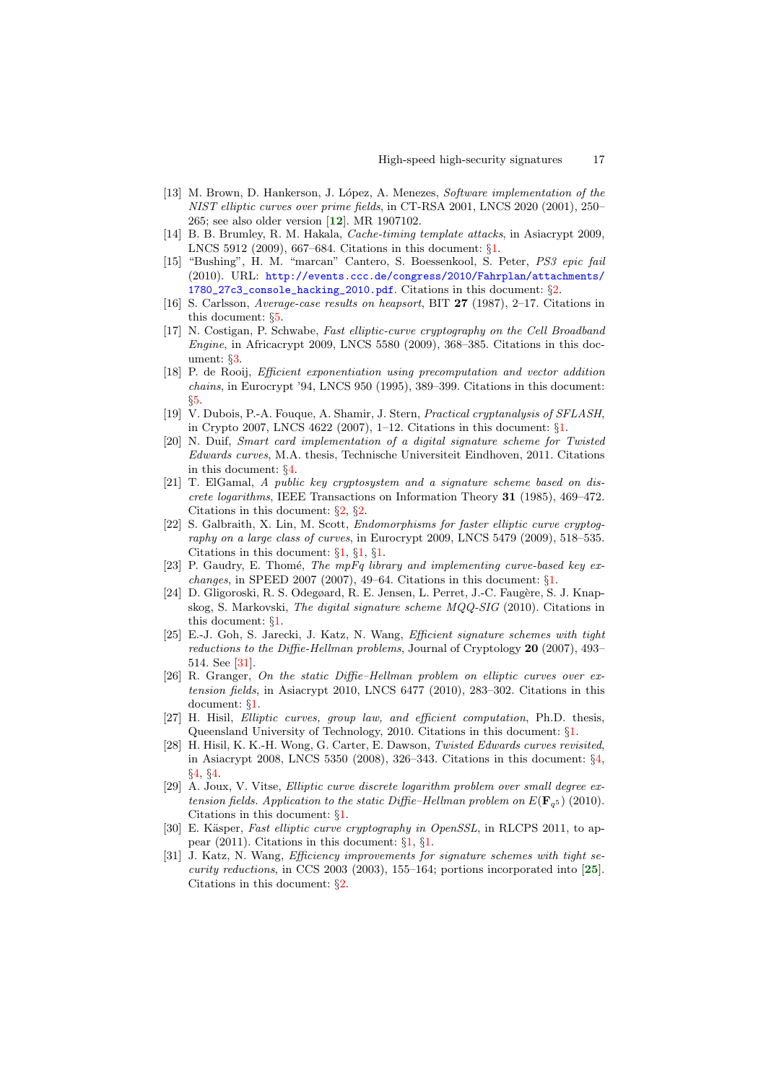- <span id="page-16-17"></span>[13] M. Brown, D. Hankerson, J. López, A. Menezes, Software implementation of the NIST elliptic curves over prime fields, in CT-RSA 2001, LNCS 2020 (2001), 250– 265; see also older version [[12](#page-15-1)]. MR 1907102.
- <span id="page-16-1"></span>[14] B. B. Brumley, R. M. Hakala, Cache-timing template attacks, in Asiacrypt 2009, LNCS 5912 (2009), 667–684. Citations in this document: §[1.](#page-2-2)
- <span id="page-16-10"></span>[15] "Bushing", H. M. "marcan" Cantero, S. Boessenkool, S. Peter, PS3 epic fail (2010). URL: [http://events.ccc.de/congress/2010/Fahrplan/attachments/](http://events.ccc.de/congress/2010/Fahrplan/attachments/1780_27c3_console_hacking_2010.pdf) [1780\\_27c3\\_console\\_hacking\\_2010.pdf](http://events.ccc.de/congress/2010/Fahrplan/attachments/1780_27c3_console_hacking_2010.pdf). Citations in this document: §[2](#page-6-6).
- <span id="page-16-16"></span>[16] S. Carlsson, Average-case results on heapsort, BIT 27 (1987), 2–17. Citations in this document: §[5.](#page-14-1)
- <span id="page-16-12"></span>[17] N. Costigan, P. Schwabe, Fast elliptic-curve cryptography on the Cell Broadband Engine, in Africacrypt 2009, LNCS 5580 (2009), 368–385. Citations in this document: §[3.](#page-8-0)
- <span id="page-16-15"></span>[18] P. de Rooij, *Efficient exponentiation using precomputation and vector addition* chains, in Eurocrypt '94, LNCS 950 (1995), 389–399. Citations in this document: §[5.](#page-14-2)
- <span id="page-16-7"></span>[19] V. Dubois, P.-A. Fouque, A. Shamir, J. Stern, Practical cryptanalysis of SFLASH, in Crypto 2007, LNCS 4622 (2007), 1–12. Citations in this document: §[1](#page-3-2).
- <span id="page-16-14"></span>[20] N. Duif, Smart card implementation of a digital signature scheme for Twisted Edwards curves, M.A. thesis, Technische Universiteit Eindhoven, 2011. Citations in this document: §[4.](#page-12-0)
- <span id="page-16-9"></span>[21] T. ElGamal, A public key cryptosystem and a signature scheme based on discrete logarithms, IEEE Transactions on Information Theory 31 (1985), 469–472. Citations in this document:  $\S 2$  $\S 2$ ,  $\S 2$ .
- <span id="page-16-0"></span>[22] S. Galbraith, X. Lin, M. Scott, Endomorphisms for faster elliptic curve cryptography on a large class of curves, in Eurocrypt 2009, LNCS 5479 (2009), 518–535. Citations in this document: §[1,](#page-2-3) §[1](#page-2-4), §[1](#page-3-3).
- <span id="page-16-2"></span>[23] P. Gaudry, E. Thomé, The mpFq library and implementing curve-based key exchanges, in SPEED 2007 (2007), 49–64. Citations in this document:  $\S1$ .
- <span id="page-16-8"></span>[24] D. Gligoroski, R. S. Odegøard, R. E. Jensen, L. Perret, J.-C. Faugère, S. J. Knapskog, S. Markovski, The digital signature scheme MQQ-SIG (2010). Citations in this document: §[1.](#page-3-4)
- <span id="page-16-19"></span>[25] E.-J. Goh, S. Jarecki, J. Katz, N. Wang, Efficient signature schemes with tight reductions to the Diffie-Hellman problems, Journal of Cryptology 20 (2007), 493-514. See [[31\]](#page-16-18).
- <span id="page-16-4"></span>[26] R. Granger, On the static Diffie–Hellman problem on elliptic curves over extension fields, in Asiacrypt 2010, LNCS 6477 (2010), 283–302. Citations in this document: §[1.](#page-2-6)
- <span id="page-16-3"></span>[27] H. Hisil, Elliptic curves, group law, and efficient computation, Ph.D. thesis, Queensland University of Technology, 2010. Citations in this document: §[1.](#page-2-7)
- <span id="page-16-13"></span>[28] H. Hisil, K. K.-H. Wong, G. Carter, E. Dawson, Twisted Edwards curves revisited, in Asiacrypt 2008, LNCS 5350 (2008), 326–343. Citations in this document: §[4,](#page-11-1) §[4,](#page-11-2) §[4](#page-11-3).
- <span id="page-16-5"></span>[29] A. Joux, V. Vitse, Elliptic curve discrete logarithm problem over small degree extension fields. Application to the static Diffie-Hellman problem on  $E(\mathbf{F}_{q^5})$  (2010). Citations in this document: §[1.](#page-2-8)
- <span id="page-16-6"></span>[30] E. Käsper, Fast elliptic curve cryptography in OpenSSL, in RLCPS 2011, to appear (2011). Citations in this document: §[1,](#page-2-9) §[1](#page-3-5).
- <span id="page-16-18"></span><span id="page-16-11"></span>[31] J. Katz, N. Wang, *Efficiency improvements for signature schemes with tight security reductions*, in CCS 2003 (2003), 155–164; portions incorporated into  $[25]$  $[25]$  $[25]$ . Citations in this document: §[2.](#page-7-2)